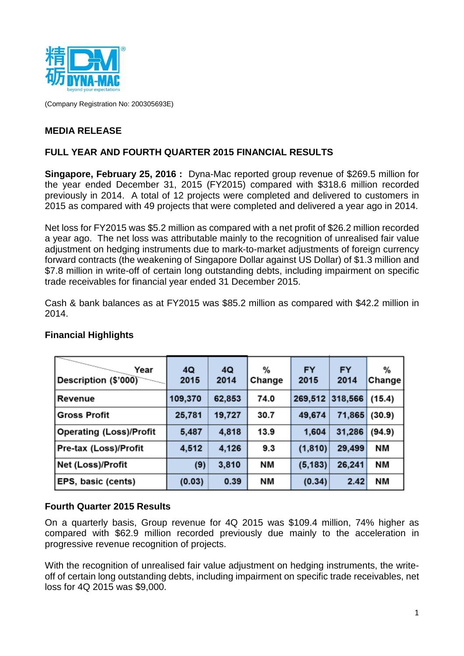

(Company Registration No: 200305693E)

# **MEDIA RELEASE**

## **FULL YEAR AND FOURTH QUARTER 2015 FINANCIAL RESULTS**

**Singapore, February 25, 2016 :** Dyna-Mac reported group revenue of \$269.5 million for the year ended December 31, 2015 (FY2015) compared with \$318.6 million recorded previously in 2014. A total of 12 projects were completed and delivered to customers in 2015 as compared with 49 projects that were completed and delivered a year ago in 2014.

Net loss for FY2015 was \$5.2 million as compared with a net profit of \$26.2 million recorded a year ago. The net loss was attributable mainly to the recognition of unrealised fair value adjustment on hedging instruments due to mark-to-market adjustments of foreign currency forward contracts (the weakening of Singapore Dollar against US Dollar) of \$1.3 million and \$7.8 million in write-off of certain long outstanding debts, including impairment on specific trade receivables for financial year ended 31 December 2015.

Cash & bank balances as at FY2015 was \$85.2 million as compared with \$42.2 million in 2014.

| Year<br>Description (\$'000)   | 4Q<br>2015 | 4Q<br>2014 | %<br>Change | <b>FY</b><br>2015 | <b>FY</b><br>2014 | %<br>Change |
|--------------------------------|------------|------------|-------------|-------------------|-------------------|-------------|
| Revenue                        | 109,370    | 62,853     | 74.0        | 269,512           | 318,566           | (15.4)      |
| <b>Gross Profit</b>            | 25,781     | 19,727     | 30.7        | 49,674            | 71,865            | (30.9)      |
| <b>Operating (Loss)/Profit</b> | 5,487      | 4,818      | 13.9        | 1,604             | 31,286            | (94.9)      |
| Pre-tax (Loss)/Profit          | 4,512      | 4,126      | 9.3         | (1, 810)          | 29,499            | NΜ          |
| Net (Loss)/Profit              | (9)        | 3,810      | NΜ          | (5, 183)          | 26,241            | NΜ          |
| <b>EPS, basic (cents)</b>      | (0.03)     | 0.39       | ΝM          | (0.34)            | 2.42              | NΜ          |

## **Financial Highlights**

## **Fourth Quarter 2015 Results**

On a quarterly basis, Group revenue for 4Q 2015 was \$109.4 million, 74% higher as compared with \$62.9 million recorded previously due mainly to the acceleration in progressive revenue recognition of projects.

With the recognition of unrealised fair value adjustment on hedging instruments, the writeoff of certain long outstanding debts, including impairment on specific trade receivables, net loss for 4Q 2015 was \$9,000.